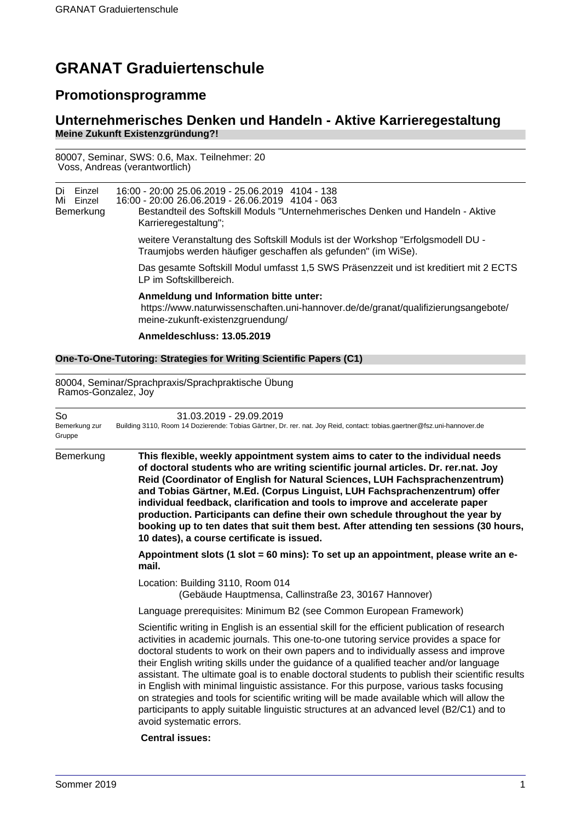# **GRANAT Graduiertenschule**

## **Promotionsprogramme**

### **Unternehmerisches Denken und Handeln - Aktive Karrieregestaltung Meine Zukunft Existenzgründung?!**

80007, Seminar, SWS: 0.6, Max. Teilnehmer: 20 Voss, Andreas (verantwortlich)

| Di Einzel<br>Mi Einzel | 16:00 - 20:00 25.06.2019 - 25.06.2019 4104 - 138<br>16:00 - 20:00 26.06.2019 - 26.06.2019 4104 - 063 |
|------------------------|------------------------------------------------------------------------------------------------------|
| Bemerkung              | Bestandteil des Softskill Moduls "Unternehmerisches Denken und Handeln - Aktive                      |
|                        | Karrieregestaltung";                                                                                 |

weitere Veranstaltung des Softskill Moduls ist der Workshop "Erfolgsmodell DU - Traumjobs werden häufiger geschaffen als gefunden" (im WiSe).

Das gesamte Softskill Modul umfasst 1,5 SWS Präsenzzeit und ist kreditiert mit 2 ECTS LP im Softskillbereich.

#### **Anmeldung und Information bitte unter:**

https://www.naturwissenschaften.uni-hannover.de/de/granat/qualifizierungsangebote/ meine-zukunft-existenzgruendung/

#### **Anmeldeschluss: 13.05.2019**

#### **One-To-One-Tutoring: Strategies for Writing Scientific Papers (C1)**

80004, Seminar/Sprachpraxis/Sprachpraktische Übung Ramos-Gonzalez, Joy

| So<br>Bemerkung zur<br>Gruppe | 31.03.2019 - 29.09.2019<br>Building 3110, Room 14 Dozierende: Tobias Gärtner, Dr. rer. nat. Joy Reid, contact: tobias.gaertner@fsz.uni-hannover.de                                                                                                                                                                                                                                                                                                                                                                                                                                                                                                                                                                                                                                            |
|-------------------------------|-----------------------------------------------------------------------------------------------------------------------------------------------------------------------------------------------------------------------------------------------------------------------------------------------------------------------------------------------------------------------------------------------------------------------------------------------------------------------------------------------------------------------------------------------------------------------------------------------------------------------------------------------------------------------------------------------------------------------------------------------------------------------------------------------|
| Bemerkung                     | This flexible, weekly appointment system aims to cater to the individual needs<br>of doctoral students who are writing scientific journal articles. Dr. rer.nat. Joy<br>Reid (Coordinator of English for Natural Sciences, LUH Fachsprachenzentrum)<br>and Tobias Gärtner, M.Ed. (Corpus Linguist, LUH Fachsprachenzentrum) offer<br>individual feedback, clarification and tools to improve and accelerate paper<br>production. Participants can define their own schedule throughout the year by<br>booking up to ten dates that suit them best. After attending ten sessions (30 hours,<br>10 dates), a course certificate is issued.                                                                                                                                                      |
|                               | Appointment slots (1 slot = 60 mins): To set up an appointment, please write an e-<br>mail.                                                                                                                                                                                                                                                                                                                                                                                                                                                                                                                                                                                                                                                                                                   |
|                               | Location: Building 3110, Room 014<br>(Gebäude Hauptmensa, Callinstraße 23, 30167 Hannover)                                                                                                                                                                                                                                                                                                                                                                                                                                                                                                                                                                                                                                                                                                    |
|                               | Language prerequisites: Minimum B2 (see Common European Framework)                                                                                                                                                                                                                                                                                                                                                                                                                                                                                                                                                                                                                                                                                                                            |
|                               | Scientific writing in English is an essential skill for the efficient publication of research<br>activities in academic journals. This one-to-one tutoring service provides a space for<br>doctoral students to work on their own papers and to individually assess and improve<br>their English writing skills under the guidance of a qualified teacher and/or language<br>assistant. The ultimate goal is to enable doctoral students to publish their scientific results<br>in English with minimal linguistic assistance. For this purpose, various tasks focusing<br>on strategies and tools for scientific writing will be made available which will allow the<br>participants to apply suitable linguistic structures at an advanced level (B2/C1) and to<br>avoid systematic errors. |
|                               | Control Incirco:                                                                                                                                                                                                                                                                                                                                                                                                                                                                                                                                                                                                                                                                                                                                                                              |

#### **Central issues:**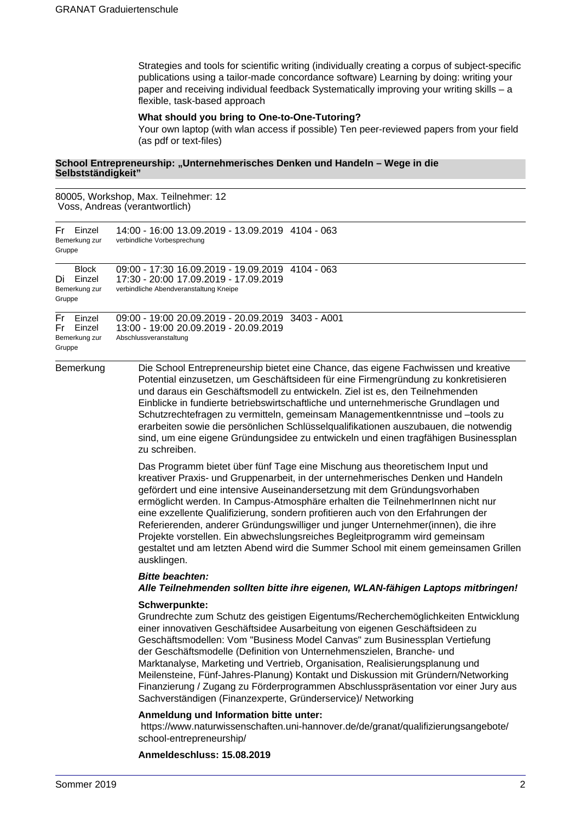Strategies and tools for scientific writing (individually creating a corpus of subject-specific publications using a tailor-made concordance software) Learning by doing: writing your paper and receiving individual feedback Systematically improving your writing skills – a flexible, task-based approach

#### **What should you bring to One-to-One-Tutoring?**

Your own laptop (with wlan access if possible) Ten peer-reviewed papers from your field (as pdf or text-files)

#### School Entrepreneurship: "Unternehmerisches Denken und Handeln - Wege in die **Selbstständigkeit"**

80005, Workshop, Max. Teilnehmer: 12 Voss, Andreas (verantwortlich)

| Fr Einzel<br>Bemerkung zur<br>Gruppe                 | 14:00 - 16:00 13.09.2019 - 13.09.2019 4104 - 063<br>verbindliche Vorbesprechung                                                                                                                                                                                                                                                                                                                                                                                                                                                                                                                                                                                                              |
|------------------------------------------------------|----------------------------------------------------------------------------------------------------------------------------------------------------------------------------------------------------------------------------------------------------------------------------------------------------------------------------------------------------------------------------------------------------------------------------------------------------------------------------------------------------------------------------------------------------------------------------------------------------------------------------------------------------------------------------------------------|
| <b>Block</b><br>Di Einzel<br>Bemerkung zur<br>Gruppe | 09:00 - 17:30 16.09.2019 - 19.09.2019 4104 - 063<br>17:30 - 20:00 17.09.2019 - 17.09.2019<br>verbindliche Abendveranstaltung Kneipe                                                                                                                                                                                                                                                                                                                                                                                                                                                                                                                                                          |
| Fr Einzel<br>Fr Einzel<br>Bemerkung zur<br>Gruppe    | 09:00 - 19:00 20.09.2019 - 20.09.2019 3403 - A001<br>13:00 - 19:00 20.09.2019 - 20.09.2019<br>Abschlussveranstaltung                                                                                                                                                                                                                                                                                                                                                                                                                                                                                                                                                                         |
| Bemerkung                                            | Die School Entrepreneurship bietet eine Chance, das eigene Fachwissen und kreative<br>Potential einzusetzen, um Geschäftsideen für eine Firmengründung zu konkretisieren<br>und daraus ein Geschäftsmodell zu entwickeln. Ziel ist es, den Teilnehmenden<br>Einblicke in fundierte betriebswirtschaftliche und unternehmerische Grundlagen und<br>Schutzrechtefragen zu vermitteln, gemeinsam Managementkenntnisse und -tools zu<br>erarbeiten sowie die persönlichen Schlüsselqualifikationen auszubauen, die notwendig<br>sind, um eine eigene Gründungsidee zu entwickeln und einen tragfähigen Businessplan<br>zu schreiben.                                                             |
|                                                      | Das Programm bietet über fünf Tage eine Mischung aus theoretischem Input und<br>kreativer Praxis- und Gruppenarbeit, in der unternehmerisches Denken und Handeln<br>gefördert und eine intensive Auseinandersetzung mit dem Gründungsvorhaben<br>ermöglicht werden. In Campus-Atmosphäre erhalten die TeilnehmerInnen nicht nur<br>eine exzellente Qualifizierung, sondern profitieren auch von den Erfahrungen der<br>Referierenden, anderer Gründungswilliger und junger Unternehmer(innen), die ihre<br>Projekte vorstellen. Ein abwechslungsreiches Begleitprogramm wird gemeinsam<br>gestaltet und am letzten Abend wird die Summer School mit einem gemeinsamen Grillen<br>ausklingen. |
|                                                      | <b>Bitte beachten:</b><br>Alle Teilnehmenden sollten bitte ihre eigenen, WLAN-fähigen Laptops mitbringen!                                                                                                                                                                                                                                                                                                                                                                                                                                                                                                                                                                                    |
|                                                      | Schwerpunkte:<br>Grundrechte zum Schutz des geistigen Eigentums/Recherchemöglichkeiten Entwicklung<br>einer innovativen Geschäftsidee Ausarbeitung von eigenen Geschäftsideen zu<br>Geschäftsmodellen: Vom "Business Model Canvas" zum Businessplan Vertiefung<br>der Geschäftsmodelle (Definition von Unternehmenszielen, Branche- und<br>Marktanalyse, Marketing und Vertrieb, Organisation, Realisierungsplanung und<br>Meilensteine. Fünf- lahres-Planung) Kontakt und Diskussion mit Gründern/Networking                                                                                                                                                                                |

ünt-Jahres-Planung) Kontakt und Diskussion mit Gründern/Networking Finanzierung / Zugang zu Förderprogrammen Abschlusspräsentation vor einer Jury aus Sachverständigen (Finanzexperte, Gründerservice)/ Networking

#### **Anmeldung und Information bitte unter:**

https://www.naturwissenschaften.uni-hannover.de/de/granat/qualifizierungsangebote/ school-entrepreneurship/

#### **Anmeldeschluss: 15.08.2019**